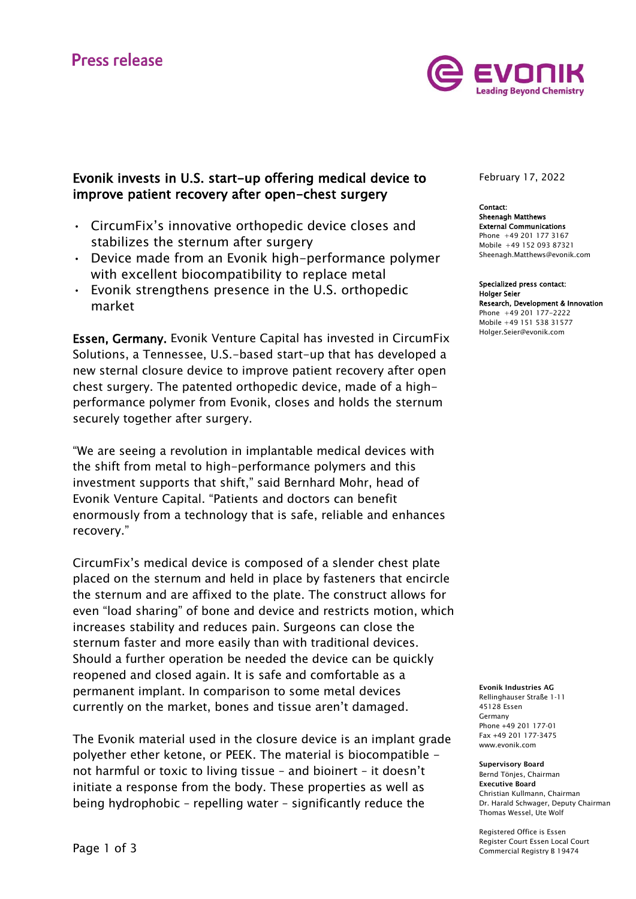

# Evonik invests in U.S. start-up offering medical device to improve patient recovery after open-chest surgery

- CircumFix's innovative orthopedic device closes and stabilizes the sternum after surgery
- Device made from an Evonik high-performance polymer with excellent biocompatibility to replace metal
- Evonik strengthens presence in the U.S. orthopedic market

Essen, Germany. Evonik Venture Capital has invested in CircumFix Solutions, a Tennessee, U.S.-based start-up that has developed a new sternal closure device to improve patient recovery after open chest surgery. The patented orthopedic device, made of a highperformance polymer from Evonik, closes and holds the sternum securely together after surgery.

"We are seeing a revolution in implantable medical devices with the shift from metal to high-performance polymers and this investment supports that shift," said Bernhard Mohr, head of Evonik Venture Capital. "Patients and doctors can benefit enormously from a technology that is safe, reliable and enhances recovery."

CircumFix's medical device is composed of a slender chest plate placed on the sternum and held in place by fasteners that encircle the sternum and are affixed to the plate. The construct allows for even "load sharing" of bone and device and restricts motion, which increases stability and reduces pain. Surgeons can close the sternum faster and more easily than with traditional devices. Should a further operation be needed the device can be quickly reopened and closed again. It is safe and comfortable as a permanent implant. In comparison to some metal devices currently on the market, bones and tissue aren't damaged.

The Evonik material used in the closure device is an implant grade polyether ether ketone, or PEEK. The material is biocompatible not harmful or toxic to living tissue – and bioinert – it doesn't initiate a response from the body. These properties as well as being hydrophobic – repelling water – significantly reduce the

February 17, 2022

Contact: Sheenagh Matthews External Communications Phone +49 201 177 3167 Mobile +49 152 093 87321 Sheenagh.Matthews@evonik.com

Specialized press contact: Holger Seier Research, Development & Innovation Phone +49 201 177-2222 Mobile +49 151 538 31577 Holger.Seier@evonik.com

Evonik Industries AG Rellinghauser Straße 1-11 45128 Essen Germany Phone +49 201 177-01 Fax +49 201 177-3475 www.evonik.com

Supervisory Board Bernd Tönjes, Chairman Executive Board Christian Kullmann, Chairman Dr. Harald Schwager, Deputy Chairman Thomas Wessel, Ute Wolf

Registered Office is Essen Register Court Essen Local Court Commercial Registry B 19474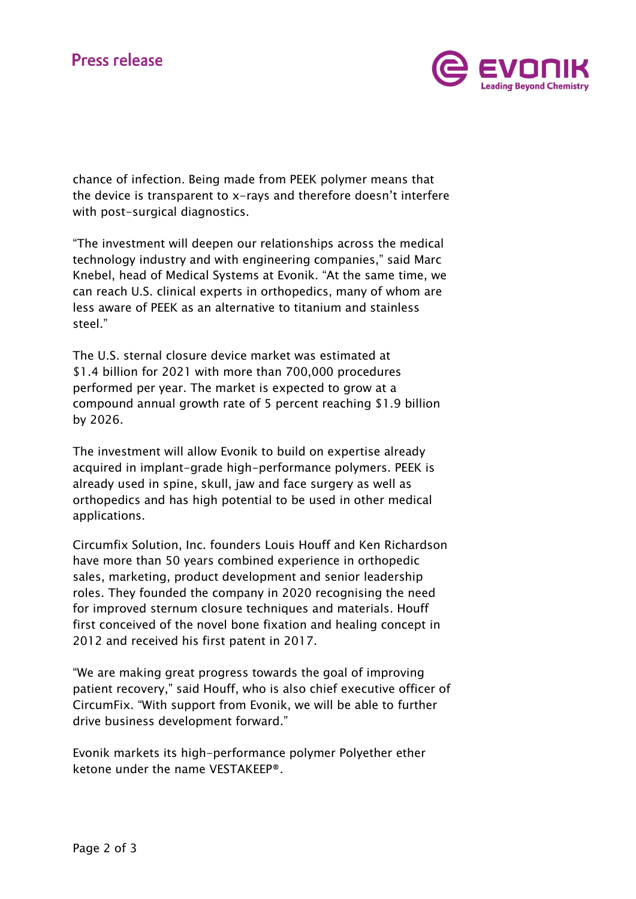

chance of infection. Being made from PEEK polymer means that the device is transparent to x-rays and therefore doesn't interfere with post-surgical diagnostics.

"The investment will deepen our relationships across the medical technology industry and with engineering companies," said Marc Knebel, head of Medical Systems at Evonik. "At the same time, we can reach U.S. clinical experts in orthopedics, many of whom are less aware of PEEK as an alternative to titanium and stainless steel."

The U.S. sternal closure device market was estimated at \$1.4 billion for 2021 with more than 700,000 procedures performed per year. The market is expected to grow at a compound annual growth rate of 5 percent reaching \$1.9 billion by 2026.

The investment will allow Evonik to build on expertise already acquired in implant-grade high-performance polymers. PEEK is already used in spine, skull, jaw and face surgery as well as orthopedics and has high potential to be used in other medical applications.

Circumfix Solution, Inc. founders Louis Houff and Ken Richardson have more than 50 years combined experience in orthopedic sales, marketing, product development and senior leadership roles. They founded the company in 2020 recognising the need for improved sternum closure techniques and materials. Houff first conceived of the novel bone fixation and healing concept in 2012 and received his first patent in 2017.

"We are making great progress towards the goal of improving patient recovery," said Houff, who is also chief executive officer of CircumFix. "With support from Evonik, we will be able to further drive business development forward."

Evonik markets its high-performance polymer Polyether ether ketone under the name VESTAKEEP®.